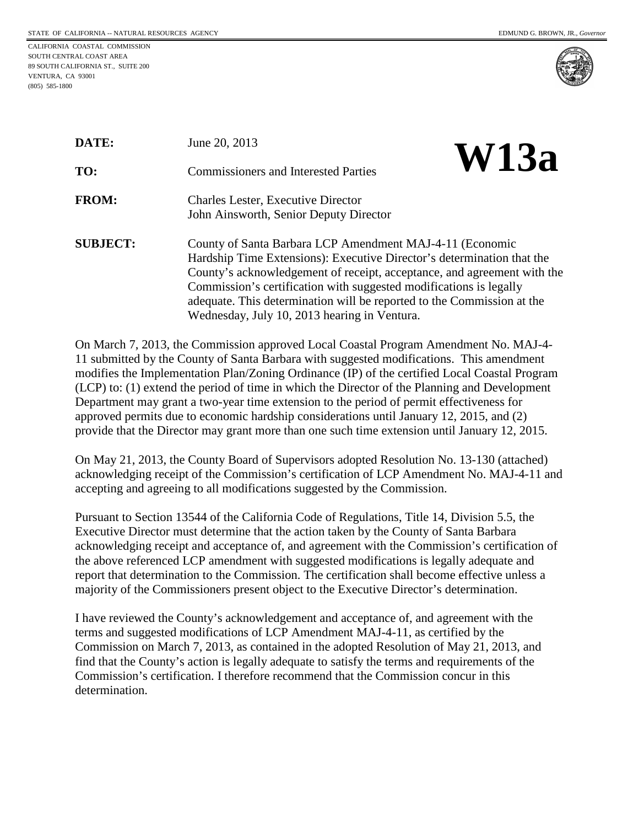CALIFORNIA COASTAL COMMISSION SOUTH CENTRAL COAST AREA 89 SOUTH CALIFORNIA ST., SUITE 200 VENTURA, CA 93001 (805) 585-1800



| DATE:           | June 20, 2013                                                                                                                                                                                                                                                                                                                                                                                                 | <b>W13a</b> |
|-----------------|---------------------------------------------------------------------------------------------------------------------------------------------------------------------------------------------------------------------------------------------------------------------------------------------------------------------------------------------------------------------------------------------------------------|-------------|
| TO:             | <b>Commissioners and Interested Parties</b>                                                                                                                                                                                                                                                                                                                                                                   |             |
| <b>FROM:</b>    | <b>Charles Lester, Executive Director</b><br>John Ainsworth, Senior Deputy Director                                                                                                                                                                                                                                                                                                                           |             |
| <b>SUBJECT:</b> | County of Santa Barbara LCP Amendment MAJ-4-11 (Economic<br>Hardship Time Extensions): Executive Director's determination that the<br>County's acknowledgement of receipt, acceptance, and agreement with the<br>Commission's certification with suggested modifications is legally<br>adequate. This determination will be reported to the Commission at the<br>Wednesday, July 10, 2013 hearing in Ventura. |             |

On March 7, 2013, the Commission approved Local Coastal Program Amendment No. MAJ-4- 11 submitted by the County of Santa Barbara with suggested modifications. This amendment modifies the Implementation Plan/Zoning Ordinance (IP) of the certified Local Coastal Program (LCP) to: (1) extend the period of time in which the Director of the Planning and Development Department may grant a two-year time extension to the period of permit effectiveness for approved permits due to economic hardship considerations until January 12, 2015, and (2) provide that the Director may grant more than one such time extension until January 12, 2015.

On May 21, 2013, the County Board of Supervisors adopted Resolution No. 13-130 (attached) acknowledging receipt of the Commission's certification of LCP Amendment No. MAJ-4-11 and accepting and agreeing to all modifications suggested by the Commission.

Pursuant to Section 13544 of the California Code of Regulations, Title 14, Division 5.5, the Executive Director must determine that the action taken by the County of Santa Barbara acknowledging receipt and acceptance of, and agreement with the Commission's certification of the above referenced LCP amendment with suggested modifications is legally adequate and report that determination to the Commission. The certification shall become effective unless a majority of the Commissioners present object to the Executive Director's determination.

I have reviewed the County's acknowledgement and acceptance of, and agreement with the terms and suggested modifications of LCP Amendment MAJ-4-11, as certified by the Commission on March 7, 2013, as contained in the adopted Resolution of May 21, 2013, and find that the County's action is legally adequate to satisfy the terms and requirements of the Commission's certification. I therefore recommend that the Commission concur in this determination.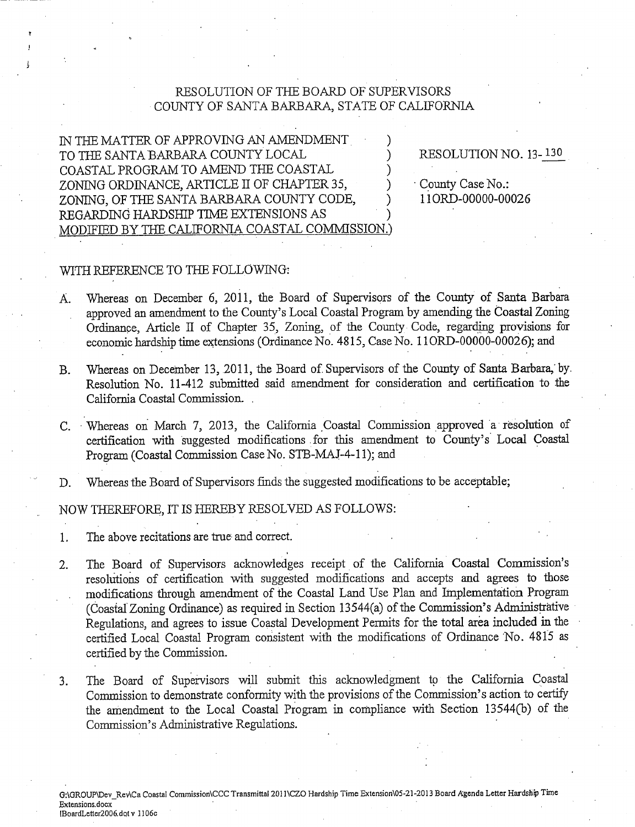## RESOLUTION OF THE BOARD OF SUPERVISORS COUNTY OF SANTA BARBARA, STATE OF CALIFORNIA

IN THE MATTER OF APPROVING AN AMENDMENT TO THE SANTA BARBARA COUNTY LOCAL COASTAL PROGRAM TO AMEND THE COASTAL ZONING ORDINANCE, ARTICLE II OF CHAPTER 35. ZONING, OF THE SANTA BARBARA COUNTY CODE, REGARDING HARDSHIP TIME EXTENSIONS AS MODIFIED BY THE CALIFORNIA COASTAL COMMISSION.)

RESOLUTION NO. 13-130

County Case No.: 110RD-00000-00026

## WITH REFERENCE TO THE FOLLOWING:

- Whereas on December 6, 2011, the Board of Supervisors of the County of Santa Barbara A. approved an amendment to the County's Local Coastal Program by amending the Coastal Zoning Ordinance, Article II of Chapter 35, Zoning, of the County Code, regarding provisions for economic hardship time extensions (Ordinance No. 4815, Case No. 11ORD-00000-00026); and
- Whereas on December 13, 2011, the Board of Supervisors of the County of Santa Barbara, by.  $B<sub>r</sub>$ Resolution No. 11-412 submitted said amendment for consideration and certification to the California Coastal Commission.
- C. Whereas on March 7, 2013, the California Coastal Commission approved a resolution of certification with suggested modifications for this amendment to County's Local Coastal Program (Coastal Commission Case No. STB-MAJ-4-11); and
- Whereas the Board of Supervisors finds the suggested modifications to be acceptable; D.

NOW THEREFORE, IT IS HEREBY RESOLVED AS FOLLOWS:

The above recitations are true and correct.  $1.$ 

- The Board of Supervisors acknowledges receipt of the California Coastal Commission's  $2.$ resolutions of certification with suggested modifications and accepts and agrees to those modifications through amendment of the Coastal Land Use Plan and Implementation Program (Coastal Zoning Ordinance) as required in Section 13544(a) of the Commission's Administrative Regulations, and agrees to issue Coastal Development Permits for the total area included in the certified Local Coastal Program consistent with the modifications of Ordinance No. 4815 as certified by the Commission.
- The Board of Supervisors will submit this acknowledgment to the California Coastal 3. Commission to demonstrate conformity with the provisions of the Commission's action to certify the amendment to the Local Coastal Program in compliance with Section 13544(b) of the Commission's Administrative Regulations.